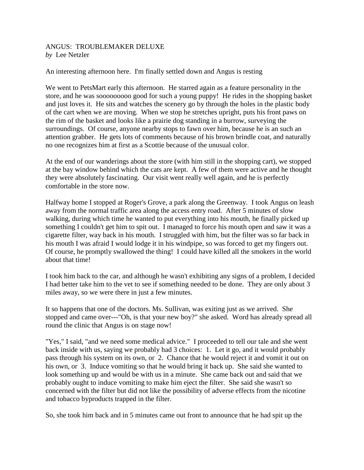## ANGUS: TROUBLEMAKER DELUXE *by* Lee Netzler

An interesting afternoon here. I'm finally settled down and Angus is resting

We went to PetsMart early this afternoon. He starred again as a feature personality in the store, and he was sooooooooo good for such a young puppy! He rides in the shopping basket and just loves it. He sits and watches the scenery go by through the holes in the plastic body of the cart when we are moving. When we stop he stretches upright, puts his front paws on the rim of the basket and looks like a prairie dog standing in a burrow, surveying the surroundings. Of course, anyone nearby stops to fawn over him, because he is an such an attention grabber. He gets lots of comments because of his brown brindle coat, and naturally no one recognizes him at first as a Scottie because of the unusual color.

At the end of our wanderings about the store (with him still in the shopping cart), we stopped at the bay window behind which the cats are kept. A few of them were active and he thought they were absolutely fascinating. Our visit went really well again, and he is perfectly comfortable in the store now.

Halfway home I stopped at Roger's Grove, a park along the Greenway. I took Angus on leash away from the normal traffic area along the access entry road. After 5 minutes of slow walking, during which time he wanted to put everything into his mouth, he finally picked up something I couldn't get him to spit out. I managed to force his mouth open and saw it was a cigarette filter, way back in his mouth. I struggled with him, but the filter was so far back in his mouth I was afraid I would lodge it in his windpipe, so was forced to get my fingers out. Of course, he promptly swallowed the thing! I could have killed all the smokers in the world about that time!

I took him back to the car, and although he wasn't exhibiting any signs of a problem, I decided I had better take him to the vet to see if something needed to be done. They are only about 3 miles away, so we were there in just a few minutes.

It so happens that one of the doctors. Ms. Sullivan, was exiting just as we arrived. She stopped and came over---"Oh, is that your new boy?" she asked. Word has already spread all round the clinic that Angus is on stage now!

"Yes," I said, "and we need some medical advice." I proceeded to tell our tale and she went back inside with us, saying we probably had 3 choices: 1. Let it go, and it would probably pass through his system on its own, or 2. Chance that he would reject it and vomit it out on his own, or 3. Induce vomiting so that he would bring it back up. She said she wanted to look something up and would be with us in a minute. She came back out and said that we probably ought to induce vomiting to make him eject the filter. She said she wasn't so concerned with the filter but did not like the possibility of adverse effects from the nicotine and tobacco byproducts trapped in the filter.

So, she took him back and in 5 minutes came out front to announce that he had spit up the